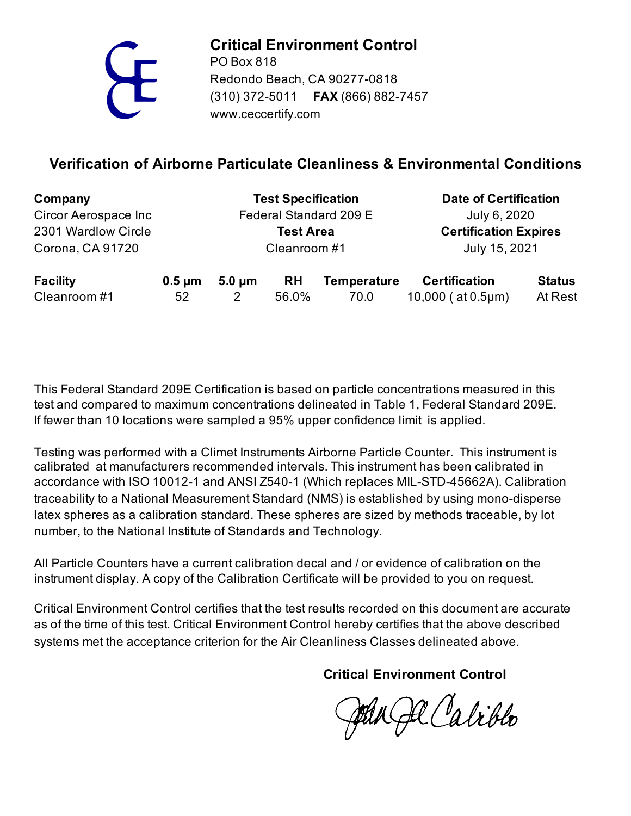

**Critical Environment Control**

www.ceccertify.com PO Box 818 Redondo Beach, CA 90277-0818 (310) 372-5011 **FAX** (866) 882-7457

## **Verification of Airborne Particulate Cleanliness & Environmental Conditions**

| Company              |             | <b>Test Specification</b> |                  |                    | <b>Date of Certification</b> |               |
|----------------------|-------------|---------------------------|------------------|--------------------|------------------------------|---------------|
| Circor Aerospace Inc |             | Federal Standard 209 E    |                  |                    | July 6, 2020                 |               |
| 2301 Wardlow Circle  |             |                           | <b>Test Area</b> |                    | <b>Certification Expires</b> |               |
| Corona, CA 91720     |             | Cleanroom#1               |                  |                    | July 15, 2021                |               |
| <b>Facility</b>      | $0.5 \mu m$ | $5.0 \mu m$               | <b>RH</b>        | <b>Temperature</b> | <b>Certification</b>         | <b>Status</b> |
| Cleanroom #1         | 52          |                           | 56.0%            | 70.0               | $10,000$ (at $0.5 \mu m$ )   | At Rest       |

If fewer than 10 locations were sampled a 95% upper confidence limit is applied. This Federal Standard 209E Certification is based on particle concentrations measured in this test and compared to maximum concentrations delineated in Table 1, Federal Standard 209E.

Testing was performed with a Climet Instruments Airborne Particle Counter. This instrument is calibrated at manufacturers recommended intervals. This instrument has been calibrated in accordance with ISO 10012-1 and ANSI Z540-1 (Which replaces MIL-STD-45662A). Calibration traceability to a National Measurement Standard (NMS) is established by using mono-disperse latex spheres as a calibration standard. These spheres are sized by methods traceable, by lot number, to the National Institute of Standards and Technology.

All Particle Counters have a current calibration decal and / or evidence of calibration on the instrument display. A copy of the Calibration Certificate will be provided to you on request.

systems met the acceptance criterion for the Air Cleanliness Classes delineated above. Critical Environment Control certifies that the test results recorded on this document are accurate as of the time of this test. Critical Environment Control hereby certifies that the above described

**Critical Environment Control**

Jul Ja Calibbo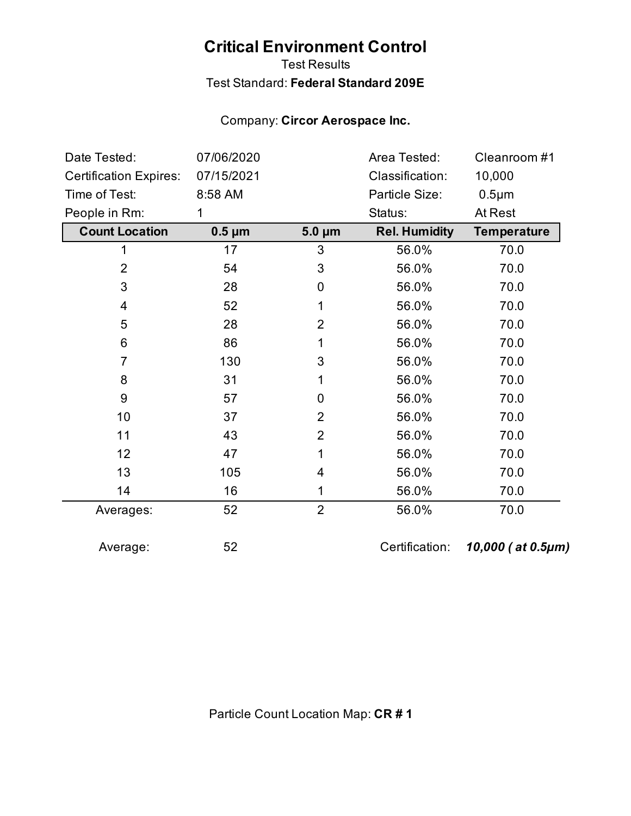# **Critical Environment Control**

## Test Results Test Standard: **Federal Standard 209E**

## Company: **Circor Aerospace Inc.**

| Date Tested:<br>07/06/2020    |             |                | Area Tested:         | Cleanroom #1       |
|-------------------------------|-------------|----------------|----------------------|--------------------|
| <b>Certification Expires:</b> | 07/15/2021  |                | Classification:      | 10,000             |
| Time of Test:                 | 8:58 AM     | Particle Size: |                      | $0.5 \mu m$        |
| People in Rm:                 | 1           |                |                      | At Rest            |
| <b>Count Location</b>         | $0.5 \mu m$ | $5.0 \mu m$    | <b>Rel. Humidity</b> | <b>Temperature</b> |
| 1                             | 17          | 3              | 56.0%                | 70.0               |
| $\overline{2}$                | 54          | 3              | 56.0%                | 70.0               |
| 3                             | 28          | 0              | 56.0%                | 70.0               |
| 4                             | 52          | 1              | 56.0%                | 70.0               |
| 5                             | 28          | $\overline{2}$ | 56.0%                | 70.0               |
| 6                             | 86          | 1              | 56.0%                | 70.0               |
| $\overline{7}$                | 130         | 3              | 56.0%                | 70.0               |
| 8                             | 31          | 1              | 56.0%                | 70.0               |
| 9                             | 57          | 0              | 56.0%                | 70.0               |
| 10                            | 37          | $\overline{2}$ | 56.0%                | 70.0               |
| 11                            | 43          | $\overline{2}$ | 56.0%                | 70.0               |
| 12                            | 47          | 1              | 56.0%                | 70.0               |
| 13                            | 105         | 4              | 56.0%                | 70.0               |
| 14                            | 16          | 1              | 56.0%                | 70.0               |
| Averages:                     | 52          | $\overline{2}$ | 56.0%                | 70.0               |
| Average:                      | 52          |                | Certification:       | 10,000 (at 0.5µm)  |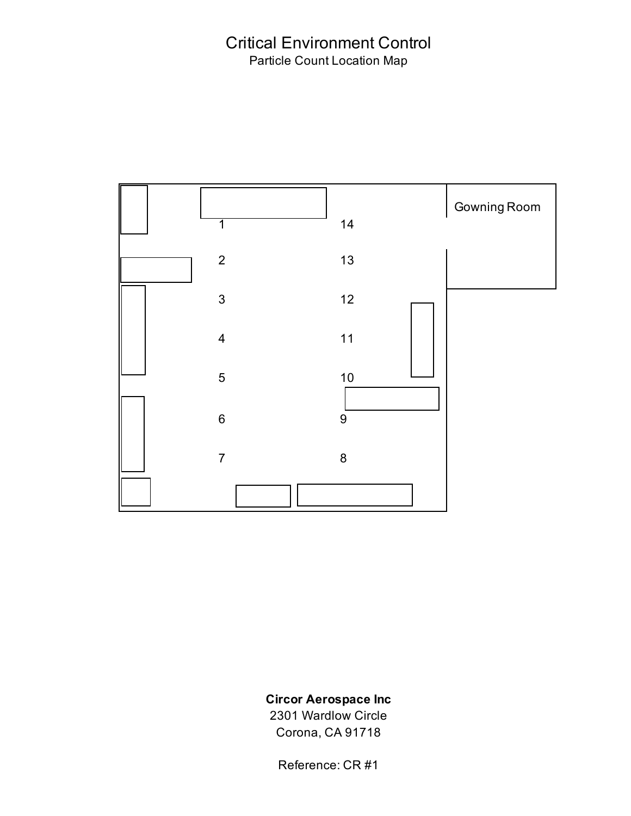## Critical Environment Control Particle Count Location Map



### **Circor Aerospace Inc**

2301 Wardlow Circle Corona, CA 91718

Reference: CR #1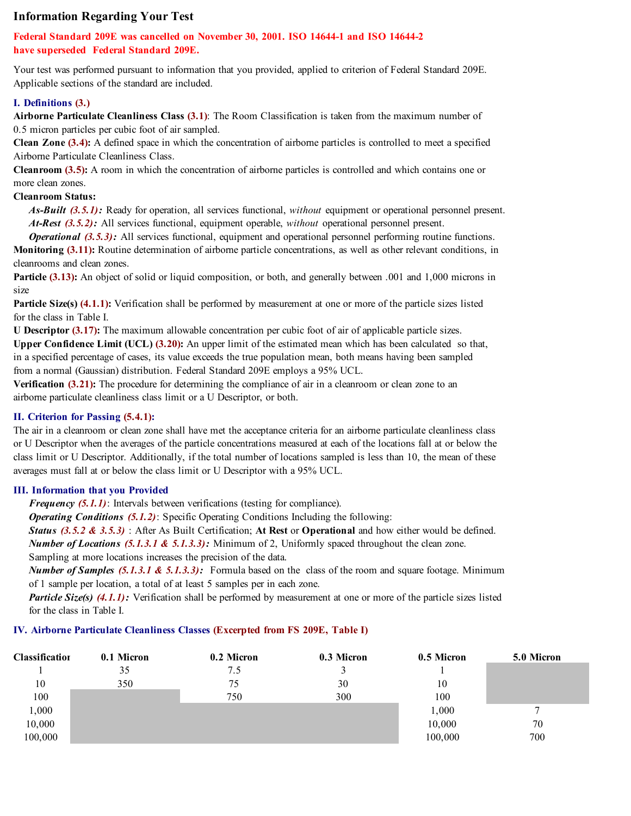#### **Information Regarding Your Test**

#### **Federal Standard 209E was cancelled on November 30, 2001. ISO 14644-1 and ISO 14644-2 have superseded Federal Standard 209E.**

Your test was performed pursuant to information that you provided, applied to criterion of Federal Standard 209E. Applicable sections of the standard are included.

#### **I. Definitions (3.)**

**Airborne Particulate Cleanliness Class (3.1)**: The Room Classification is taken from the maximum number of 0.5 micron particles per cubic foot of air sampled.

**Clean Zone (3.4):** A defined space in which the concentration of airborne particles is controlled to meet a specified Airborne Particulate Cleanliness Class.

**Cleanroom (3.5):** A room in which the concentration of airborne particles is controlled and which contains one or more clean zones.

#### **Cleanroom Status:**

 *As-Built (3.5.1):* Ready for operation, all services functional, *without* equipment or operational personnel present.  *At-Rest (3.5.2):* All services functional, equipment operable, *without* operational personnel present.

*Operational (3.5.3):* All services functional, equipment and operational personnel performing routine functions. **Monitoring (3.11):** Routine determination of airborne particle concentrations, as well as other relevant conditions, in cleanrooms and clean zones.

**Particle (3.13):** An object of solid or liquid composition, or both, and generally between .001 and 1,000 microns in size

**Particle Size(s) (4.1.1):** Verification shall be performed by measurement at one or more of the particle sizes listed for the class in Table I.

**U Descriptor (3.17):** The maximum allowable concentration per cubic foot of air of applicable particle sizes. **Upper Confidence Limit (UCL) (3.20):** An upper limit of the estimated mean which has been calculated so that, in a specified percentage of cases, its value exceeds the true population mean, both means having been sampled from a normal (Gaussian) distribution. Federal Standard 209E employs a 95% UCL.

**Verification (3.21):** The procedure for determining the compliance of air in a cleanroom or clean zone to an airborne particulate cleanliness class limit or a U Descriptor, or both.

#### **II. Criterion for Passing (5.4.1):**

The air in a cleanroom or clean zone shall have met the acceptance criteria for an airborne particulate cleanliness class or U Descriptor when the averages of the particle concentrations measured at each of the locations fall at or below the class limit or U Descriptor. Additionally, if the total number of locations sampled is less than 10, the mean of these averages must fall at or below the class limit or U Descriptor with a 95% UCL.

#### **III. Information that you Provided**

*Frequency (5.1.1)*: Intervals between verifications (testing for compliance).

 *Operating Conditions (5.1.2)*: Specific Operating Conditions Including the following:

*Status (3.5.2 & 3.5.3)* : After As Built Certification; **At Rest** or **Operational** and how either would be defined.

*Number of Locations (5.1.3.1 & 5.1.3.3):* Minimum of 2, Uniformly spaced throughout the clean zone.

Sampling at more locations increases the precision of the data.

*Number of Samples (5.1.3.1 & 5.1.3.3):* Formula based on the class of the room and square footage. Minimum of 1 sample per location, a total of at least 5 samples per in each zone.

*Particle Size(s) (4.1.1):* Verification shall be performed by measurement at one or more of the particle sizes listed for the class in Table I.

#### **IV. Airborne Particulate Cleanliness Classes (Excerpted from FS 209E, Table I)**

| Classificatior | 0.1 Micron | 0.2 Micron | 0.3 Micron | 0.5 Micron | 5.0 Micron |
|----------------|------------|------------|------------|------------|------------|
|                | 35         | 7.5        |            |            |            |
| 10             | 350        | 75         | 30         | 10         |            |
| 100            |            | 750        | 300        | 100        |            |
| 1,000          |            |            |            | 1,000      |            |
| 10,000         |            |            |            | 10,000     | 70         |
| 100,000        |            |            |            | 100,000    | 700        |